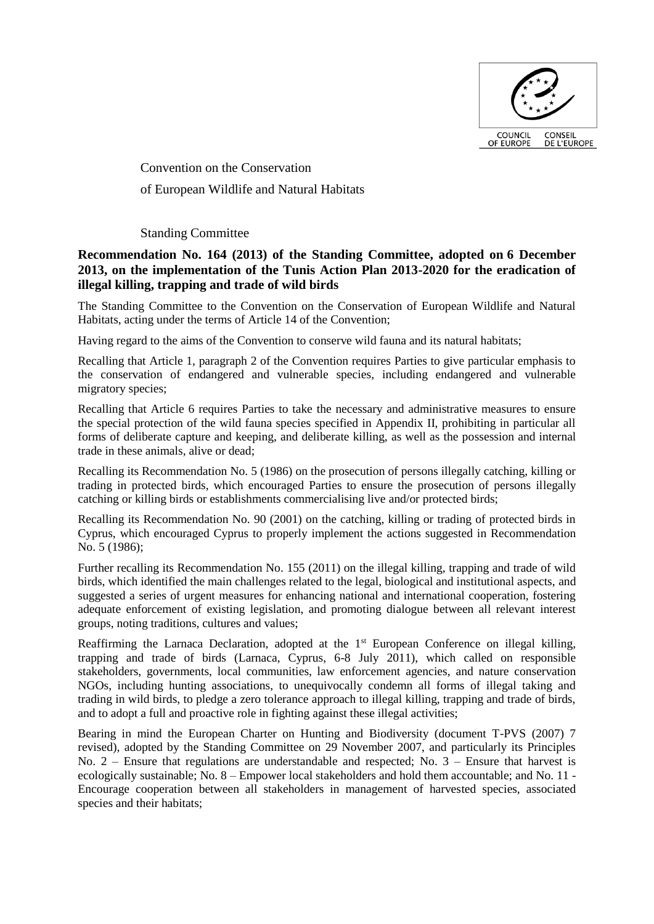

Convention on the Conservation of European Wildlife and Natural Habitats

Standing Committee

#### **Recommendation No. 164 (2013) of the Standing Committee, adopted on 6 December 2013, on the implementation of the Tunis Action Plan 2013-2020 for the eradication of illegal killing, trapping and trade of wild birds**

The Standing Committee to the Convention on the Conservation of European Wildlife and Natural Habitats, acting under the terms of Article 14 of the Convention;

Having regard to the aims of the Convention to conserve wild fauna and its natural habitats;

Recalling that Article 1, paragraph 2 of the Convention requires Parties to give particular emphasis to the conservation of endangered and vulnerable species, including endangered and vulnerable migratory species;

Recalling that Article 6 requires Parties to take the necessary and administrative measures to ensure the special protection of the wild fauna species specified in Appendix II, prohibiting in particular all forms of deliberate capture and keeping, and deliberate killing, as well as the possession and internal trade in these animals, alive or dead;

Recalling its Recommendation No. 5 (1986) on the prosecution of persons illegally catching, killing or trading in protected birds, which encouraged Parties to ensure the prosecution of persons illegally catching or killing birds or establishments commercialising live and/or protected birds;

Recalling its Recommendation No. 90 (2001) on the catching, killing or trading of protected birds in Cyprus, which encouraged Cyprus to properly implement the actions suggested in Recommendation No. 5 (1986);

Further recalling its Recommendation No. 155 (2011) on the illegal killing, trapping and trade of wild birds, which identified the main challenges related to the legal, biological and institutional aspects, and suggested a series of urgent measures for enhancing national and international cooperation, fostering adequate enforcement of existing legislation, and promoting dialogue between all relevant interest groups, noting traditions, cultures and values;

Reaffirming the Larnaca Declaration, adopted at the  $1<sup>st</sup>$  European Conference on illegal killing, trapping and trade of birds (Larnaca, Cyprus,  $6-8$  July 2011), which called on responsible stakeholders, governments, local communities, law enforcement agencies, and nature conservation NGOs, including hunting associations, to unequivocally condemn all forms of illegal taking and trading in wild birds, to pledge a zero tolerance approach to illegal killing, trapping and trade of birds, and to adopt a full and proactive role in fighting against these illegal activities;

Bearing in mind the European Charter on Hunting and Biodiversity (document T-PVS (2007) 7 revised), adopted by the Standing Committee on 29 November 2007, and particularly its Principles No. 2 – Ensure that regulations are understandable and respected; No. 3 – Ensure that harvest is ecologically sustainable; No. 8 – Empower local stakeholders and hold them accountable; and No. 11 - Encourage cooperation between all stakeholders in management of harvested species, associated species and their habitats;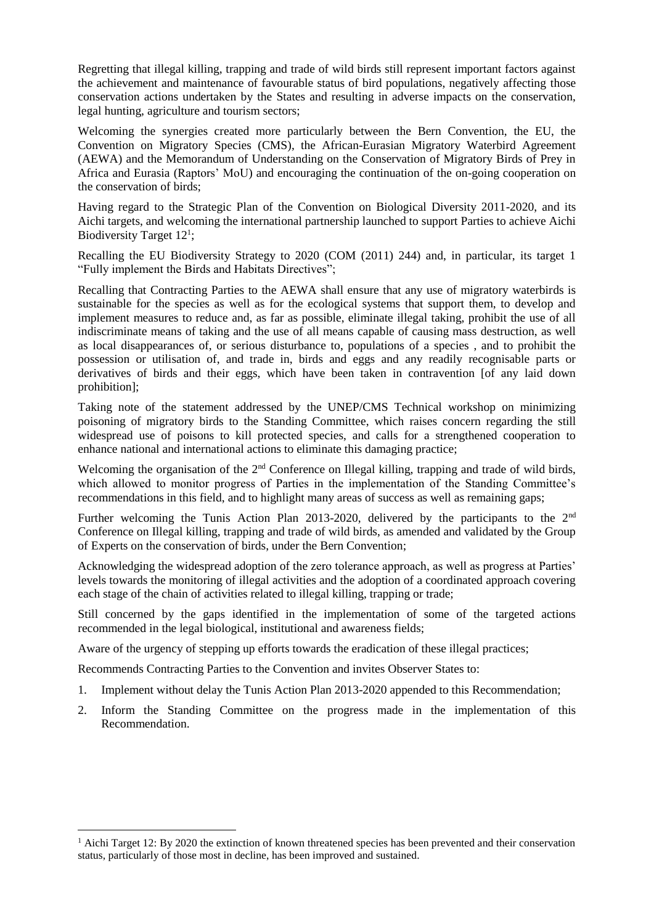Regretting that illegal killing, trapping and trade of wild birds still represent important factors against the achievement and maintenance of favourable status of bird populations, negatively affecting those conservation actions undertaken by the States and resulting in adverse impacts on the conservation, legal hunting, agriculture and tourism sectors;

Welcoming the synergies created more particularly between the Bern Convention, the EU, the Convention on Migratory Species (CMS), the African-Eurasian Migratory Waterbird Agreement (AEWA) and the Memorandum of Understanding on the Conservation of Migratory Birds of Prey in Africa and Eurasia (Raptors' MoU) and encouraging the continuation of the on-going cooperation on the conservation of birds;

Having regard to the Strategic Plan of the Convention on Biological Diversity 2011-2020, and its Aichi targets, and welcoming the international partnership launched to support Parties to achieve Aichi Biodiversity Target 12<sup>1</sup>;

Recalling the EU Biodiversity Strategy to 2020 (COM (2011) 244) and, in particular, its target 1 "Fully implement the Birds and Habitats Directives";

Recalling that Contracting Parties to the AEWA shall ensure that any use of migratory waterbirds is sustainable for the species as well as for the ecological systems that support them, to develop and implement measures to reduce and, as far as possible, eliminate illegal taking, prohibit the use of all indiscriminate means of taking and the use of all means capable of causing mass destruction, as well as local disappearances of, or serious disturbance to, populations of a species , and to prohibit the possession or utilisation of, and trade in, birds and eggs and any readily recognisable parts or derivatives of birds and their eggs, which have been taken in contravention [of any laid down prohibition];

Taking note of the statement addressed by the UNEP/CMS Technical workshop on minimizing poisoning of migratory birds to the Standing Committee, which raises concern regarding the still widespread use of poisons to kill protected species, and calls for a strengthened cooperation to enhance national and international actions to eliminate this damaging practice;

Welcoming the organisation of the 2<sup>nd</sup> Conference on Illegal killing, trapping and trade of wild birds, which allowed to monitor progress of Parties in the implementation of the Standing Committee's recommendations in this field, and to highlight many areas of success as well as remaining gaps;

Further welcoming the Tunis Action Plan 2013-2020, delivered by the participants to the 2<sup>nd</sup> Conference on Illegal killing, trapping and trade of wild birds, as amended and validated by the Group of Experts on the conservation of birds, under the Bern Convention;

Acknowledging the widespread adoption of the zero tolerance approach, as well as progress at Parties' levels towards the monitoring of illegal activities and the adoption of a coordinated approach covering each stage of the chain of activities related to illegal killing, trapping or trade;

Still concerned by the gaps identified in the implementation of some of the targeted actions recommended in the legal biological, institutional and awareness fields;

Aware of the urgency of stepping up efforts towards the eradication of these illegal practices;

Recommends Contracting Parties to the Convention and invites Observer States to:

 $\overline{a}$ 

- 1. Implement without delay the Tunis Action Plan 2013-2020 appended to this Recommendation;
- 2. Inform the Standing Committee on the progress made in the implementation of this Recommendation.

<sup>&</sup>lt;sup>1</sup> Aichi Target 12: By 2020 the extinction of known threatened species has been prevented and their conservation status, particularly of those most in decline, has been improved and sustained.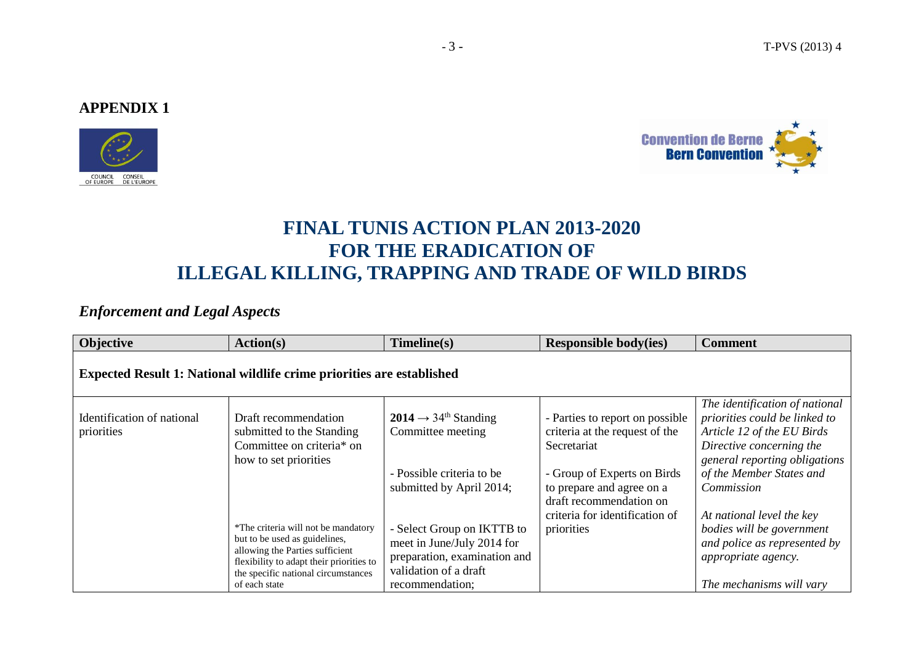### **APPENDIX 1**





# **FINAL TUNIS ACTION PLAN 2013-2020 FOR THE ERADICATION OF ILLEGAL KILLING, TRAPPING AND TRADE OF WILD BIRDS**

### *Enforcement and Legal Aspects*

| <b>Objective</b>                                                      | Action(s)                                                                                                                                                                                                   | Timeline(s)                                                                                                                          | <b>Responsible body(ies)</b>                                                                                          | <b>Comment</b>                                                                                                                                             |  |  |
|-----------------------------------------------------------------------|-------------------------------------------------------------------------------------------------------------------------------------------------------------------------------------------------------------|--------------------------------------------------------------------------------------------------------------------------------------|-----------------------------------------------------------------------------------------------------------------------|------------------------------------------------------------------------------------------------------------------------------------------------------------|--|--|
| Expected Result 1: National wildlife crime priorities are established |                                                                                                                                                                                                             |                                                                                                                                      |                                                                                                                       |                                                                                                                                                            |  |  |
| Identification of national<br>priorities                              | Draft recommendation<br>submitted to the Standing<br>Committee on criteria* on<br>how to set priorities                                                                                                     | $2014 \rightarrow 34^{\text{th}}$ Standing<br>Committee meeting                                                                      | - Parties to report on possible<br>criteria at the request of the<br>Secretariat                                      | The identification of national<br>priorities could be linked to<br>Article 12 of the EU Birds<br>Directive concerning the<br>general reporting obligations |  |  |
|                                                                       |                                                                                                                                                                                                             | - Possible criteria to be<br>submitted by April 2014;                                                                                | - Group of Experts on Birds<br>to prepare and agree on a<br>draft recommendation on<br>criteria for identification of | of the Member States and<br>Commission<br>At national level the key                                                                                        |  |  |
|                                                                       | *The criteria will not be mandatory<br>but to be used as guidelines,<br>allowing the Parties sufficient<br>flexibility to adapt their priorities to<br>the specific national circumstances<br>of each state | - Select Group on IKTTB to<br>meet in June/July 2014 for<br>preparation, examination and<br>validation of a draft<br>recommendation; | priorities                                                                                                            | bodies will be government<br>and police as represented by<br>appropriate agency.<br>The mechanisms will vary                                               |  |  |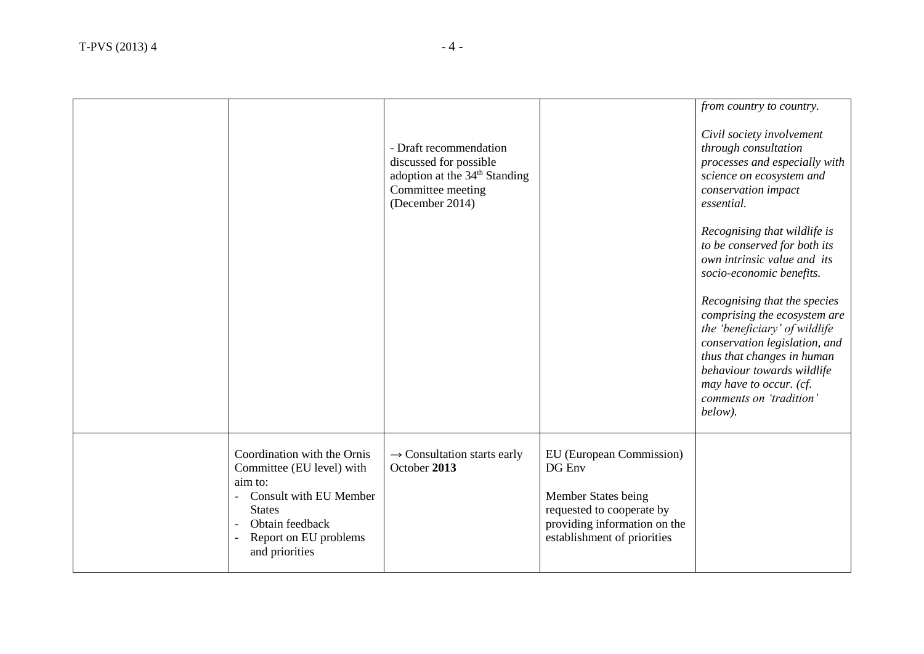|                                                                                                                                                                                                                 | - Draft recommendation<br>discussed for possible<br>adoption at the 34 <sup>th</sup> Standing<br>Committee meeting<br>(December 2014) |                                                                                                                                                       | from country to country.<br>Civil society involvement<br>through consultation<br>processes and especially with<br>science on ecosystem and<br>conservation impact<br>essential.<br>Recognising that wildlife is<br>to be conserved for both its<br>own intrinsic value and its<br>socio-economic benefits.<br>Recognising that the species<br>comprising the ecosystem are<br>the 'beneficiary' of wildlife<br>conservation legislation, and<br>thus that changes in human<br>behaviour towards wildlife<br>may have to occur. (cf.<br>comments on 'tradition'<br>below). |
|-----------------------------------------------------------------------------------------------------------------------------------------------------------------------------------------------------------------|---------------------------------------------------------------------------------------------------------------------------------------|-------------------------------------------------------------------------------------------------------------------------------------------------------|---------------------------------------------------------------------------------------------------------------------------------------------------------------------------------------------------------------------------------------------------------------------------------------------------------------------------------------------------------------------------------------------------------------------------------------------------------------------------------------------------------------------------------------------------------------------------|
| Coordination with the Ornis<br>Committee (EU level) with<br>aim to:<br><b>Consult with EU Member</b><br><b>States</b><br>Obtain feedback<br>Report on EU problems<br>$\overline{\phantom{a}}$<br>and priorities | $\rightarrow$ Consultation starts early<br>October 2013                                                                               | EU (European Commission)<br>DG Env<br>Member States being<br>requested to cooperate by<br>providing information on the<br>establishment of priorities |                                                                                                                                                                                                                                                                                                                                                                                                                                                                                                                                                                           |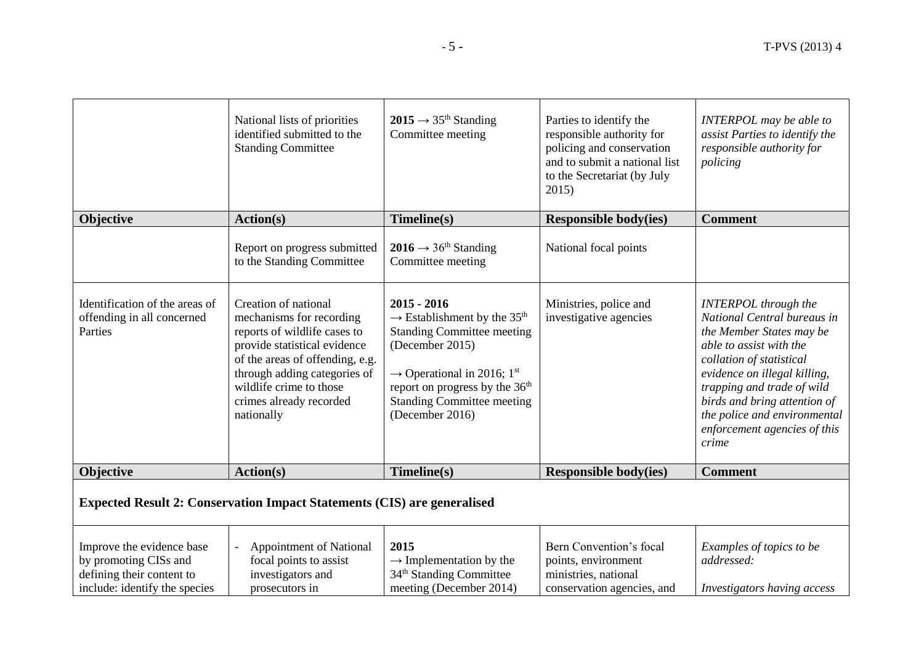|                                                                                                                  | National lists of priorities<br>identified submitted to the<br><b>Standing Committee</b>                                                                                                                                                                | $2015 \rightarrow 35^{\text{th}}$ Standing<br>Committee meeting                                                                                                                                                                                                                          | Parties to identify the<br>responsible authority for<br>policing and conservation<br>and to submit a national list<br>to the Secretariat (by July<br>2015) | <b>INTERPOL</b> may be able to<br>assist Parties to identify the<br>responsible authority for<br>policing                                                                                                                                                                                                            |
|------------------------------------------------------------------------------------------------------------------|---------------------------------------------------------------------------------------------------------------------------------------------------------------------------------------------------------------------------------------------------------|------------------------------------------------------------------------------------------------------------------------------------------------------------------------------------------------------------------------------------------------------------------------------------------|------------------------------------------------------------------------------------------------------------------------------------------------------------|----------------------------------------------------------------------------------------------------------------------------------------------------------------------------------------------------------------------------------------------------------------------------------------------------------------------|
| <b>Objective</b>                                                                                                 | Action(s)                                                                                                                                                                                                                                               | Timeline(s)                                                                                                                                                                                                                                                                              | <b>Responsible body(ies)</b>                                                                                                                               | <b>Comment</b>                                                                                                                                                                                                                                                                                                       |
|                                                                                                                  | Report on progress submitted<br>to the Standing Committee                                                                                                                                                                                               | $2016 \rightarrow 36^{\text{th}}$ Standing<br>Committee meeting                                                                                                                                                                                                                          | National focal points                                                                                                                                      |                                                                                                                                                                                                                                                                                                                      |
| Identification of the areas of<br>offending in all concerned<br>Parties                                          | Creation of national<br>mechanisms for recording<br>reports of wildlife cases to<br>provide statistical evidence<br>of the areas of offending, e.g.<br>through adding categories of<br>wildlife crime to those<br>crimes already recorded<br>nationally | $2015 - 2016$<br>$\rightarrow$ Establishment by the 35 <sup>th</sup><br><b>Standing Committee meeting</b><br>(December 2015)<br>$\rightarrow$ Operational in 2016; 1 <sup>st</sup><br>report on progress by the 36 <sup>th</sup><br><b>Standing Committee meeting</b><br>(December 2016) | Ministries, police and<br>investigative agencies                                                                                                           | <b>INTERPOL</b> through the<br>National Central bureaus in<br>the Member States may be<br>able to assist with the<br>collation of statistical<br>evidence on illegal killing,<br>trapping and trade of wild<br>birds and bring attention of<br>the police and environmental<br>enforcement agencies of this<br>crime |
| Objective                                                                                                        | Action(s)                                                                                                                                                                                                                                               | Timeline(s)                                                                                                                                                                                                                                                                              | <b>Responsible body(ies)</b>                                                                                                                               | <b>Comment</b>                                                                                                                                                                                                                                                                                                       |
|                                                                                                                  | <b>Expected Result 2: Conservation Impact Statements (CIS) are generalised</b>                                                                                                                                                                          |                                                                                                                                                                                                                                                                                          |                                                                                                                                                            |                                                                                                                                                                                                                                                                                                                      |
| Improve the evidence base<br>by promoting CISs and<br>defining their content to<br>include: identify the species | <b>Appointment of National</b><br>focal points to assist<br>investigators and<br>prosecutors in                                                                                                                                                         | 2015<br>$\rightarrow$ Implementation by the<br>34 <sup>th</sup> Standing Committee<br>meeting (December 2014)                                                                                                                                                                            | Bern Convention's focal<br>points, environment<br>ministries, national<br>conservation agencies, and                                                       | Examples of topics to be<br>addressed:<br>Investigators having access                                                                                                                                                                                                                                                |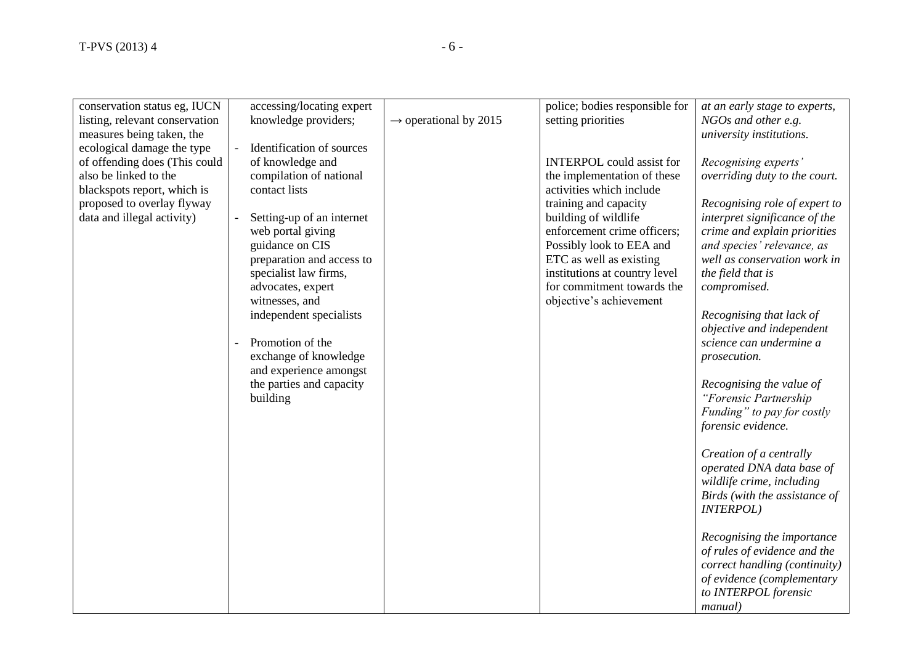| conservation status eg, IUCN<br>listing, relevant conservation<br>measures being taken, the<br>ecological damage the type<br>of offending does (This could<br>also be linked to the<br>blackspots report, which is<br>proposed to overlay flyway<br>data and illegal activity) | accessing/locating expert<br>knowledge providers;<br>Identification of sources<br>of knowledge and<br>compilation of national<br>contact lists<br>Setting-up of an internet<br>web portal giving<br>guidance on CIS<br>preparation and access to<br>specialist law firms,<br>advocates, expert<br>witnesses, and<br>independent specialists<br>Promotion of the<br>exchange of knowledge<br>and experience amongst | $\rightarrow$ operational by 2015 | police; bodies responsible for<br>setting priorities<br><b>INTERPOL</b> could assist for<br>the implementation of these<br>activities which include<br>training and capacity<br>building of wildlife<br>enforcement crime officers;<br>Possibly look to EEA and<br>ETC as well as existing<br>institutions at country level<br>for commitment towards the<br>objective's achievement | at an early stage to experts,<br>NGOs and other e.g.<br>university institutions.<br>Recognising experts'<br>overriding duty to the court.<br>Recognising role of expert to<br>interpret significance of the<br>crime and explain priorities<br>and species' relevance, as<br>well as conservation work in<br>the field that is<br>compromised.<br>Recognising that lack of<br>objective and independent<br>science can undermine a<br><i>prosecution.</i> |
|--------------------------------------------------------------------------------------------------------------------------------------------------------------------------------------------------------------------------------------------------------------------------------|--------------------------------------------------------------------------------------------------------------------------------------------------------------------------------------------------------------------------------------------------------------------------------------------------------------------------------------------------------------------------------------------------------------------|-----------------------------------|--------------------------------------------------------------------------------------------------------------------------------------------------------------------------------------------------------------------------------------------------------------------------------------------------------------------------------------------------------------------------------------|-----------------------------------------------------------------------------------------------------------------------------------------------------------------------------------------------------------------------------------------------------------------------------------------------------------------------------------------------------------------------------------------------------------------------------------------------------------|
|                                                                                                                                                                                                                                                                                | building                                                                                                                                                                                                                                                                                                                                                                                                           |                                   |                                                                                                                                                                                                                                                                                                                                                                                      | "Forensic Partnership<br>Funding" to pay for costly<br>forensic evidence.                                                                                                                                                                                                                                                                                                                                                                                 |
|                                                                                                                                                                                                                                                                                | the parties and capacity                                                                                                                                                                                                                                                                                                                                                                                           |                                   |                                                                                                                                                                                                                                                                                                                                                                                      | Recognising the value of                                                                                                                                                                                                                                                                                                                                                                                                                                  |
|                                                                                                                                                                                                                                                                                |                                                                                                                                                                                                                                                                                                                                                                                                                    |                                   |                                                                                                                                                                                                                                                                                                                                                                                      | Creation of a centrally<br>operated DNA data base of<br>wildlife crime, including                                                                                                                                                                                                                                                                                                                                                                         |

*Birds (with the assistance of* 

*Recognising the importance of rules of evidence and the correct handling (continuity) of evidence (complementary to INTERPOL forensic* 

*INTERPOL)*

*manual)*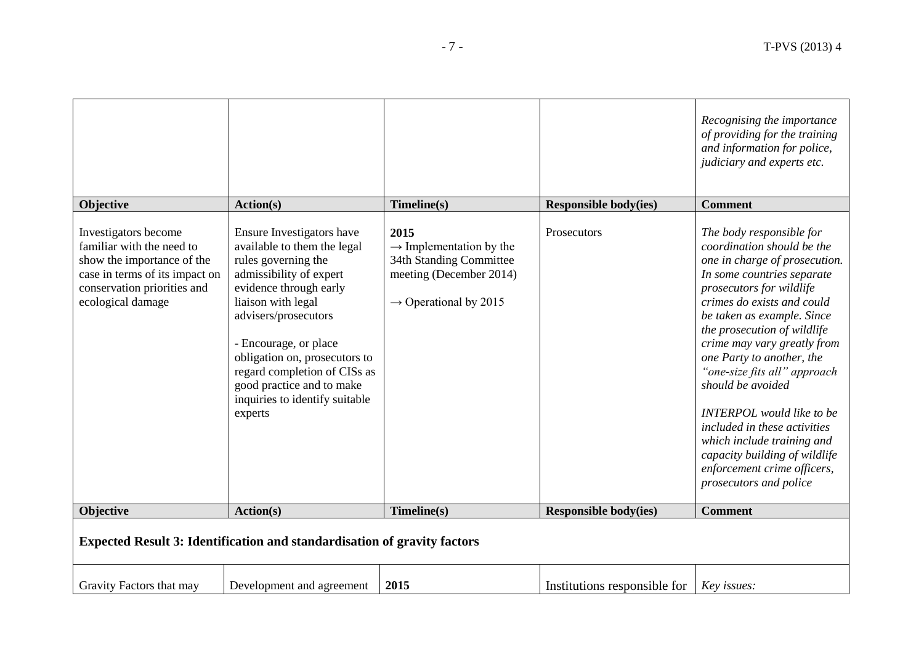|                                                                                                                                                                       |                                                                                                                                                                                                                                                                                                                                                        |                                                                                                                                        |                              | Recognising the importance<br>of providing for the training<br>and information for police,<br>judiciary and experts etc.                                                                                                                                                                                                                                                                                                                                                                                                                                  |  |
|-----------------------------------------------------------------------------------------------------------------------------------------------------------------------|--------------------------------------------------------------------------------------------------------------------------------------------------------------------------------------------------------------------------------------------------------------------------------------------------------------------------------------------------------|----------------------------------------------------------------------------------------------------------------------------------------|------------------------------|-----------------------------------------------------------------------------------------------------------------------------------------------------------------------------------------------------------------------------------------------------------------------------------------------------------------------------------------------------------------------------------------------------------------------------------------------------------------------------------------------------------------------------------------------------------|--|
| <b>Objective</b>                                                                                                                                                      | Action(s)                                                                                                                                                                                                                                                                                                                                              | Timeline(s)                                                                                                                            | <b>Responsible body(ies)</b> | <b>Comment</b>                                                                                                                                                                                                                                                                                                                                                                                                                                                                                                                                            |  |
| Investigators become<br>familiar with the need to<br>show the importance of the<br>case in terms of its impact on<br>conservation priorities and<br>ecological damage | Ensure Investigators have<br>available to them the legal<br>rules governing the<br>admissibility of expert<br>evidence through early<br>liaison with legal<br>advisers/prosecutors<br>- Encourage, or place<br>obligation on, prosecutors to<br>regard completion of CISs as<br>good practice and to make<br>inquiries to identify suitable<br>experts | 2015<br>$\rightarrow$ Implementation by the<br>34th Standing Committee<br>meeting (December 2014)<br>$\rightarrow$ Operational by 2015 | Prosecutors                  | The body responsible for<br>coordination should be the<br>one in charge of prosecution.<br>In some countries separate<br>prosecutors for wildlife<br>crimes do exists and could<br>be taken as example. Since<br>the prosecution of wildlife<br>crime may vary greatly from<br>one Party to another, the<br>"one-size fits all" approach<br>should be avoided<br><b>INTERPOL</b> would like to be<br>included in these activities<br>which include training and<br>capacity building of wildlife<br>enforcement crime officers,<br>prosecutors and police |  |
| Objective                                                                                                                                                             | Action(s)                                                                                                                                                                                                                                                                                                                                              | Timeline(s)                                                                                                                            | <b>Responsible body(ies)</b> | <b>Comment</b>                                                                                                                                                                                                                                                                                                                                                                                                                                                                                                                                            |  |
| <b>Expected Result 3: Identification and standardisation of gravity factors</b>                                                                                       |                                                                                                                                                                                                                                                                                                                                                        |                                                                                                                                        |                              |                                                                                                                                                                                                                                                                                                                                                                                                                                                                                                                                                           |  |
| Gravity Factors that may                                                                                                                                              | Development and agreement                                                                                                                                                                                                                                                                                                                              | 2015                                                                                                                                   | Institutions responsible for | Key issues:                                                                                                                                                                                                                                                                                                                                                                                                                                                                                                                                               |  |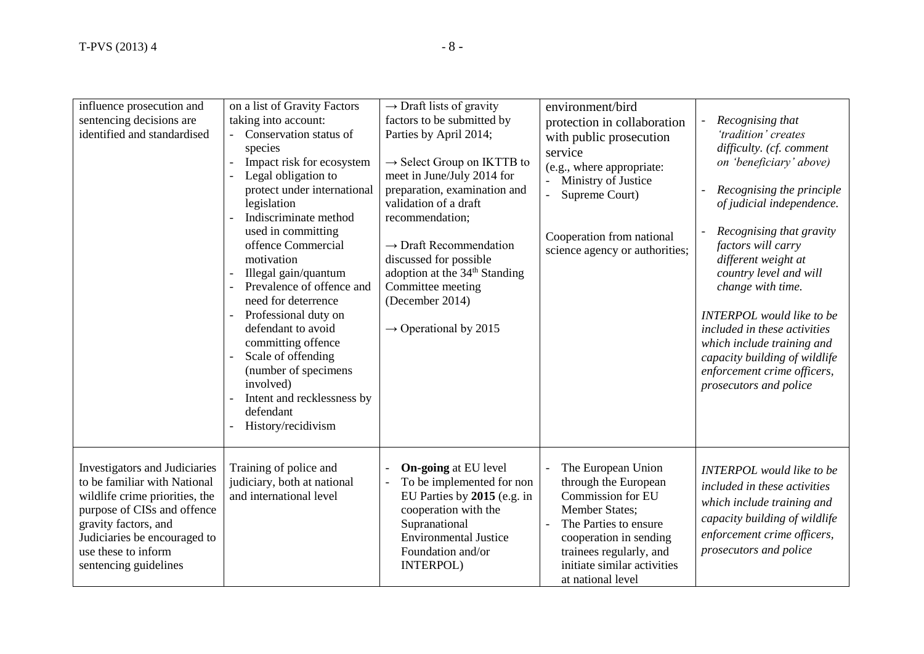| influence prosecution and<br>sentencing decisions are<br>identified and standardised                                                                                                                                                          | on a list of Gravity Factors<br>taking into account:<br>Conservation status of<br>species<br>Impact risk for ecosystem<br>Legal obligation to<br>protect under international<br>legislation<br>Indiscriminate method<br>used in committing<br>offence Commercial<br>motivation<br>Illegal gain/quantum<br>Prevalence of offence and<br>need for deterrence<br>Professional duty on<br>defendant to avoid<br>committing offence<br>Scale of offending<br>(number of specimens<br>involved)<br>Intent and recklessness by<br>defendant<br>History/recidivism | $\rightarrow$ Draft lists of gravity<br>factors to be submitted by<br>Parties by April 2014;<br>$\rightarrow$ Select Group on IKTTB to<br>meet in June/July 2014 for<br>preparation, examination and<br>validation of a draft<br>recommendation;<br>$\rightarrow$ Draft Recommendation<br>discussed for possible<br>adoption at the 34 <sup>th</sup> Standing<br>Committee meeting<br>(December 2014)<br>$\rightarrow$ Operational by 2015 | environment/bird<br>protection in collaboration<br>with public prosecution<br>service<br>(e.g., where appropriate:<br>Ministry of Justice<br>Supreme Court)<br>Cooperation from national<br>science agency or authorities;        | Recognising that<br>'tradition' creates<br>difficulty. (cf. comment<br>on 'beneficiary' above)<br>Recognising the principle<br>of judicial independence.<br>Recognising that gravity<br>factors will carry<br>different weight at<br>country level and will<br>change with time.<br><b>INTERPOL</b> would like to be<br>included in these activities<br>which include training and<br>capacity building of wildlife<br>enforcement crime officers,<br>prosecutors and police |
|-----------------------------------------------------------------------------------------------------------------------------------------------------------------------------------------------------------------------------------------------|------------------------------------------------------------------------------------------------------------------------------------------------------------------------------------------------------------------------------------------------------------------------------------------------------------------------------------------------------------------------------------------------------------------------------------------------------------------------------------------------------------------------------------------------------------|--------------------------------------------------------------------------------------------------------------------------------------------------------------------------------------------------------------------------------------------------------------------------------------------------------------------------------------------------------------------------------------------------------------------------------------------|-----------------------------------------------------------------------------------------------------------------------------------------------------------------------------------------------------------------------------------|------------------------------------------------------------------------------------------------------------------------------------------------------------------------------------------------------------------------------------------------------------------------------------------------------------------------------------------------------------------------------------------------------------------------------------------------------------------------------|
| <b>Investigators and Judiciaries</b><br>to be familiar with National<br>wildlife crime priorities, the<br>purpose of CISs and offence<br>gravity factors, and<br>Judiciaries be encouraged to<br>use these to inform<br>sentencing guidelines | Training of police and<br>judiciary, both at national<br>and international level                                                                                                                                                                                                                                                                                                                                                                                                                                                                           | <b>On-going at EU level</b><br>To be implemented for non<br>EU Parties by 2015 (e.g. in<br>cooperation with the<br>Supranational<br><b>Environmental Justice</b><br>Foundation and/or<br>INTERPOL)                                                                                                                                                                                                                                         | The European Union<br>through the European<br><b>Commission for EU</b><br><b>Member States;</b><br>The Parties to ensure<br>cooperation in sending<br>trainees regularly, and<br>initiate similar activities<br>at national level | <b>INTERPOL</b> would like to be<br>included in these activities<br>which include training and<br>capacity building of wildlife<br>enforcement crime officers,<br>prosecutors and police                                                                                                                                                                                                                                                                                     |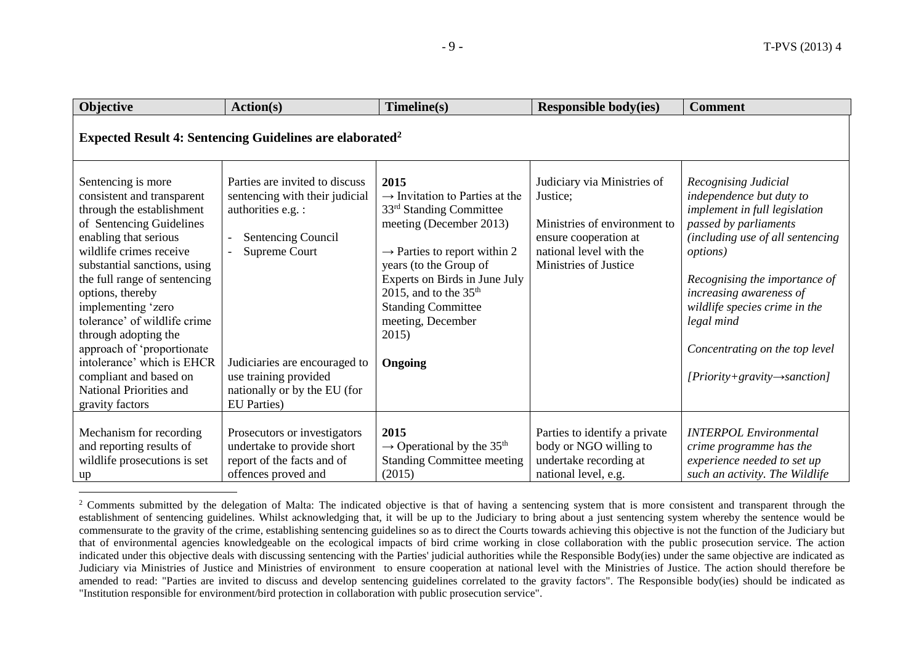| Objective                                                                                                                                                                                                                                                                                                                                                                                                                                                           | Action(s)                                                                                                                                                                                                                                     | Timeline(s)                                                                                                                                                                                                                                                                                                                  | <b>Responsible body(ies)</b>                                                                                                                         | <b>Comment</b>                                                                                                                                                                                                                                                                                                                                                      |  |  |
|---------------------------------------------------------------------------------------------------------------------------------------------------------------------------------------------------------------------------------------------------------------------------------------------------------------------------------------------------------------------------------------------------------------------------------------------------------------------|-----------------------------------------------------------------------------------------------------------------------------------------------------------------------------------------------------------------------------------------------|------------------------------------------------------------------------------------------------------------------------------------------------------------------------------------------------------------------------------------------------------------------------------------------------------------------------------|------------------------------------------------------------------------------------------------------------------------------------------------------|---------------------------------------------------------------------------------------------------------------------------------------------------------------------------------------------------------------------------------------------------------------------------------------------------------------------------------------------------------------------|--|--|
| <b>Expected Result 4: Sentencing Guidelines are elaborated<sup>2</sup></b>                                                                                                                                                                                                                                                                                                                                                                                          |                                                                                                                                                                                                                                               |                                                                                                                                                                                                                                                                                                                              |                                                                                                                                                      |                                                                                                                                                                                                                                                                                                                                                                     |  |  |
| Sentencing is more<br>consistent and transparent<br>through the establishment<br>of Sentencing Guidelines<br>enabling that serious<br>wildlife crimes receive<br>substantial sanctions, using<br>the full range of sentencing<br>options, thereby<br>implementing 'zero<br>tolerance' of wildlife crime<br>through adopting the<br>approach of 'proportionate<br>intolerance' which is EHCR<br>compliant and based on<br>National Priorities and<br>gravity factors | Parties are invited to discuss<br>sentencing with their judicial<br>authorities e.g. :<br>Sentencing Council<br>Supreme Court<br>Judiciaries are encouraged to<br>use training provided<br>nationally or by the EU (for<br><b>EU</b> Parties) | 2015<br>$\rightarrow$ Invitation to Parties at the<br>33 <sup>rd</sup> Standing Committee<br>meeting (December 2013)<br>$\rightarrow$ Parties to report within 2<br>years (to the Group of<br>Experts on Birds in June July<br>2015, and to the $35th$<br><b>Standing Committee</b><br>meeting, December<br>2015)<br>Ongoing | Judiciary via Ministries of<br>Justice;<br>Ministries of environment to<br>ensure cooperation at<br>national level with the<br>Ministries of Justice | <b>Recognising Judicial</b><br>independence but duty to<br>implement in full legislation<br>passed by parliaments<br>(including use of all sentencing<br><i>options</i> )<br>Recognising the importance of<br>increasing awareness of<br>wildlife species crime in the<br>legal mind<br>Concentrating on the top level<br>$[Priority+gravity \rightarrow$ sanction] |  |  |
| Mechanism for recording<br>and reporting results of<br>wildlife prosecutions is set<br>up                                                                                                                                                                                                                                                                                                                                                                           | Prosecutors or investigators<br>undertake to provide short<br>report of the facts and of<br>offences proved and                                                                                                                               | 2015<br>$\rightarrow$ Operational by the 35 <sup>th</sup><br><b>Standing Committee meeting</b><br>(2015)                                                                                                                                                                                                                     | Parties to identify a private<br>body or NGO willing to<br>undertake recording at<br>national level, e.g.                                            | <b>INTERPOL Environmental</b><br>crime programme has the<br>experience needed to set up<br>such an activity. The Wildlife                                                                                                                                                                                                                                           |  |  |

<sup>&</sup>lt;sup>2</sup> Comments submitted by the delegation of Malta: The indicated objective is that of having a sentencing system that is more consistent and transparent through the establishment of sentencing guidelines. Whilst acknowledging that, it will be up to the Judiciary to bring about a just sentencing system whereby the sentence would be commensurate to the gravity of the crime, establishing sentencing guidelines so as to direct the Courts towards achieving this objective is not the function of the Judiciary but that of environmental agencies knowledgeable on the ecological impacts of bird crime working in close collaboration with the public prosecution service. The action indicated under this objective deals with discussing sentencing with the Parties' judicial authorities while the Responsible Body(ies) under the same objective are indicated as Judiciary via Ministries of Justice and Ministries of environment to ensure cooperation at national level with the Ministries of Justice. The action should therefore be amended to read: "Parties are invited to discuss and develop sentencing guidelines correlated to the gravity factors". The Responsible body(ies) should be indicated as "Institution responsible for environment/bird protection in collaboration with public prosecution service".

 $\overline{a}$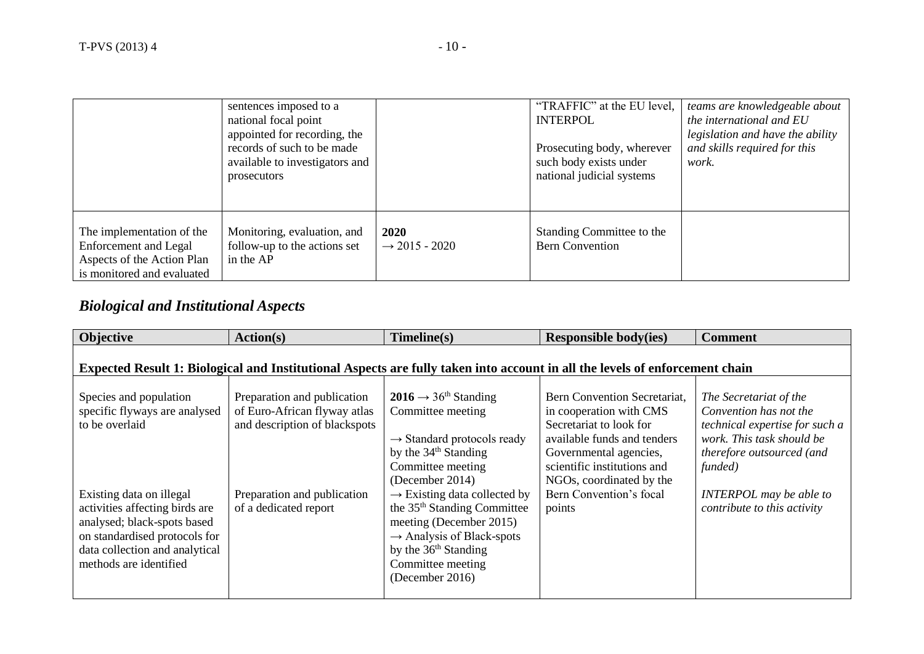|                                                                                                                | sentences imposed to a<br>national focal point<br>appointed for recording, the<br>records of such to be made<br>available to investigators and<br>prosecutors |                                   | "TRAFFIC" at the EU level,<br><b>INTERPOL</b><br>Prosecuting body, wherever<br>such body exists under<br>national judicial systems | teams are knowledgeable about<br>the international and EU<br>legislation and have the ability<br>and skills required for this<br>work. |
|----------------------------------------------------------------------------------------------------------------|---------------------------------------------------------------------------------------------------------------------------------------------------------------|-----------------------------------|------------------------------------------------------------------------------------------------------------------------------------|----------------------------------------------------------------------------------------------------------------------------------------|
| The implementation of the<br>Enforcement and Legal<br>Aspects of the Action Plan<br>is monitored and evaluated | Monitoring, evaluation, and<br>follow-up to the actions set<br>in the AP                                                                                      | 2020<br>$\rightarrow$ 2015 - 2020 | Standing Committee to the<br><b>Bern Convention</b>                                                                                |                                                                                                                                        |

## *Biological and Institutional Aspects*

| <b>Objective</b>                                                                                                                                                                                                                                                    | <b>Action(s)</b>                                                                                                                                     | Timeline(s)                                                                                                                                                                                                                                                                                                                                                                                                                  | <b>Responsible body(ies)</b>                                                                                                                                                                                                                | <b>Comment</b>                                                                                                                                                                                                           |  |
|---------------------------------------------------------------------------------------------------------------------------------------------------------------------------------------------------------------------------------------------------------------------|------------------------------------------------------------------------------------------------------------------------------------------------------|------------------------------------------------------------------------------------------------------------------------------------------------------------------------------------------------------------------------------------------------------------------------------------------------------------------------------------------------------------------------------------------------------------------------------|---------------------------------------------------------------------------------------------------------------------------------------------------------------------------------------------------------------------------------------------|--------------------------------------------------------------------------------------------------------------------------------------------------------------------------------------------------------------------------|--|
| Expected Result 1: Biological and Institutional Aspects are fully taken into account in all the levels of enforcement chain                                                                                                                                         |                                                                                                                                                      |                                                                                                                                                                                                                                                                                                                                                                                                                              |                                                                                                                                                                                                                                             |                                                                                                                                                                                                                          |  |
| Species and population<br>specific flyways are analysed<br>to be overlaid<br>Existing data on illegal<br>activities affecting birds are<br>analysed; black-spots based<br>on standardised protocols for<br>data collection and analytical<br>methods are identified | Preparation and publication<br>of Euro-African flyway atlas<br>and description of blackspots<br>Preparation and publication<br>of a dedicated report | $2016 \rightarrow 36^{\text{th}}$ Standing<br>Committee meeting<br>$\rightarrow$ Standard protocols ready<br>by the 34 <sup>th</sup> Standing<br>Committee meeting<br>(December 2014)<br>$\rightarrow$ Existing data collected by<br>the 35 <sup>th</sup> Standing Committee<br>meeting (December 2015)<br>$\rightarrow$ Analysis of Black-spots<br>by the 36 <sup>th</sup> Standing<br>Committee meeting<br>(December 2016) | Bern Convention Secretariat,<br>in cooperation with CMS<br>Secretariat to look for<br>available funds and tenders<br>Governmental agencies,<br>scientific institutions and<br>NGOs, coordinated by the<br>Bern Convention's focal<br>points | The Secretariat of the<br>Convention has not the<br>technical expertise for such a<br>work. This task should be<br>therefore outsourced (and<br>funded)<br><b>INTERPOL</b> may be able to<br>contribute to this activity |  |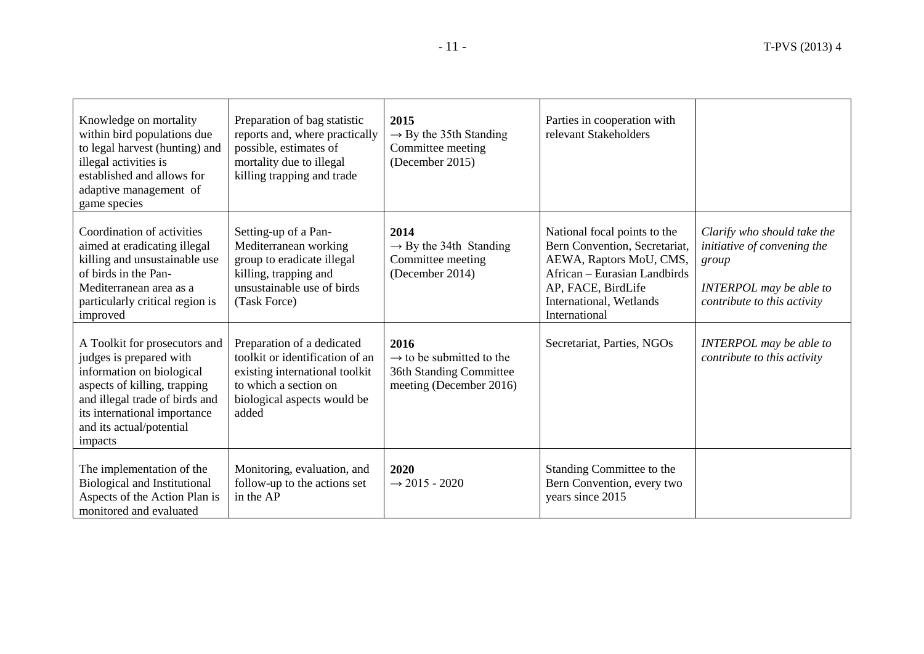| Knowledge on mortality<br>within bird populations due<br>to legal harvest (hunting) and<br>illegal activities is<br>established and allows for<br>adaptive management of<br>game species                                       | Preparation of bag statistic<br>reports and, where practically<br>possible, estimates of<br>mortality due to illegal<br>killing trapping and trade               | 2015<br>$\rightarrow$ By the 35th Standing<br>Committee meeting<br>(December 2015)                 | Parties in cooperation with<br>relevant Stakeholders                                                                                                                                       |                                                                                                                                      |
|--------------------------------------------------------------------------------------------------------------------------------------------------------------------------------------------------------------------------------|------------------------------------------------------------------------------------------------------------------------------------------------------------------|----------------------------------------------------------------------------------------------------|--------------------------------------------------------------------------------------------------------------------------------------------------------------------------------------------|--------------------------------------------------------------------------------------------------------------------------------------|
| Coordination of activities<br>aimed at eradicating illegal<br>killing and unsustainable use<br>of birds in the Pan-<br>Mediterranean area as a<br>particularly critical region is<br>improved                                  | Setting-up of a Pan-<br>Mediterranean working<br>group to eradicate illegal<br>killing, trapping and<br>unsustainable use of birds<br>(Task Force)               | 2014<br>$\rightarrow$ By the 34th Standing<br>Committee meeting<br>(December 2014)                 | National focal points to the<br>Bern Convention, Secretariat,<br>AEWA, Raptors MoU, CMS,<br>African – Eurasian Landbirds<br>AP, FACE, BirdLife<br>International, Wetlands<br>International | Clarify who should take the<br>initiative of convening the<br>group<br><b>INTERPOL</b> may be able to<br>contribute to this activity |
| A Toolkit for prosecutors and<br>judges is prepared with<br>information on biological<br>aspects of killing, trapping<br>and illegal trade of birds and<br>its international importance<br>and its actual/potential<br>impacts | Preparation of a dedicated<br>toolkit or identification of an<br>existing international toolkit<br>to which a section on<br>biological aspects would be<br>added | 2016<br>$\rightarrow$ to be submitted to the<br>36th Standing Committee<br>meeting (December 2016) | Secretariat, Parties, NGOs                                                                                                                                                                 | <b>INTERPOL</b> may be able to<br>contribute to this activity                                                                        |
| The implementation of the<br><b>Biological and Institutional</b><br>Aspects of the Action Plan is<br>monitored and evaluated                                                                                                   | Monitoring, evaluation, and<br>follow-up to the actions set<br>in the AP                                                                                         | 2020<br>$\rightarrow$ 2015 - 2020                                                                  | Standing Committee to the<br>Bern Convention, every two<br>years since 2015                                                                                                                |                                                                                                                                      |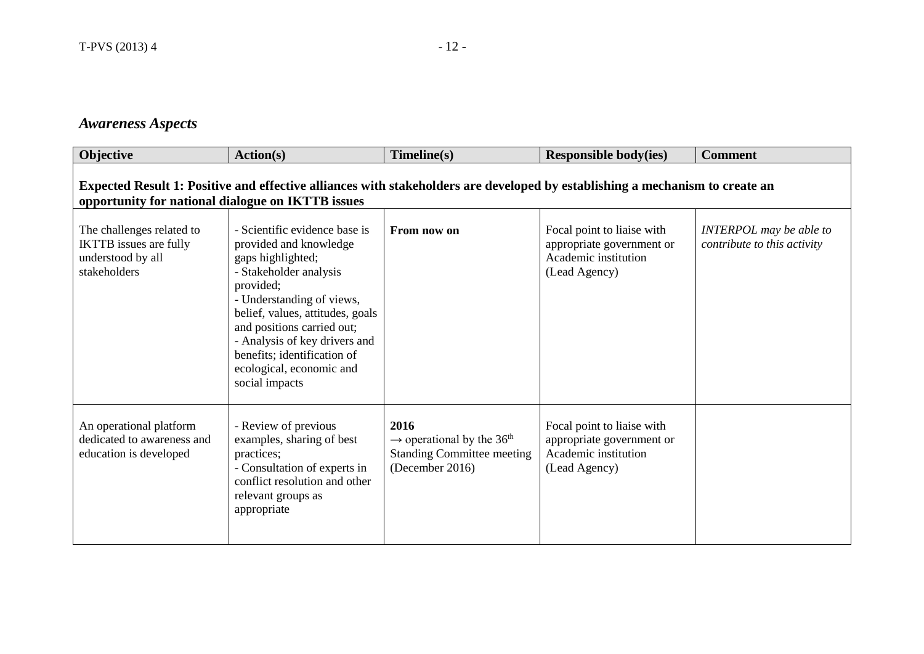## *Awareness Aspects*

| Objective                                                                                                                                                                         | <b>Action(s)</b>                                                                                                                                                                                                                                                                                                                 | Timeline(s)                                                                                                       | <b>Responsible body(ies)</b>                                                                     | <b>Comment</b>                                                |  |  |
|-----------------------------------------------------------------------------------------------------------------------------------------------------------------------------------|----------------------------------------------------------------------------------------------------------------------------------------------------------------------------------------------------------------------------------------------------------------------------------------------------------------------------------|-------------------------------------------------------------------------------------------------------------------|--------------------------------------------------------------------------------------------------|---------------------------------------------------------------|--|--|
| Expected Result 1: Positive and effective alliances with stakeholders are developed by establishing a mechanism to create an<br>opportunity for national dialogue on IKTTB issues |                                                                                                                                                                                                                                                                                                                                  |                                                                                                                   |                                                                                                  |                                                               |  |  |
| The challenges related to<br><b>IKTTB</b> issues are fully<br>understood by all<br>stakeholders                                                                                   | - Scientific evidence base is<br>provided and knowledge<br>gaps highlighted;<br>- Stakeholder analysis<br>provided;<br>- Understanding of views,<br>belief, values, attitudes, goals<br>and positions carried out;<br>- Analysis of key drivers and<br>benefits; identification of<br>ecological, economic and<br>social impacts | From now on                                                                                                       | Focal point to liaise with<br>appropriate government or<br>Academic institution<br>(Lead Agency) | <b>INTERPOL</b> may be able to<br>contribute to this activity |  |  |
| An operational platform<br>dedicated to awareness and<br>education is developed                                                                                                   | - Review of previous<br>examples, sharing of best<br>practices;<br>- Consultation of experts in<br>conflict resolution and other<br>relevant groups as<br>appropriate                                                                                                                                                            | 2016<br>$\rightarrow$ operational by the 36 <sup>th</sup><br><b>Standing Committee meeting</b><br>(December 2016) | Focal point to liaise with<br>appropriate government or<br>Academic institution<br>(Lead Agency) |                                                               |  |  |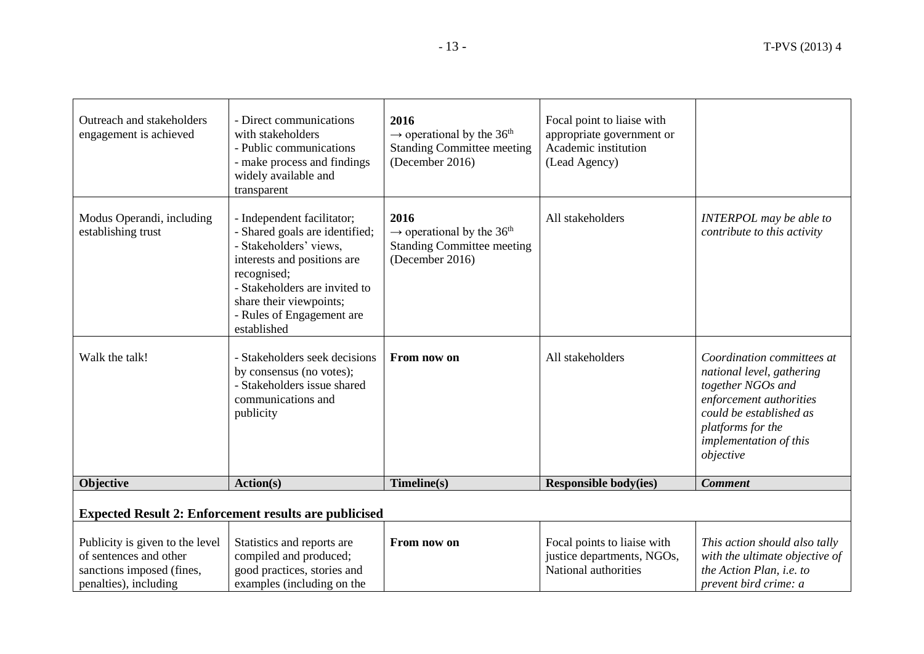| Outreach and stakeholders<br>engagement is achieved                                                             | - Direct communications<br>with stakeholders<br>- Public communications<br>- make process and findings<br>widely available and<br>transparent                                                                                                | 2016<br>$\rightarrow$ operational by the 36 <sup>th</sup><br><b>Standing Committee meeting</b><br>(December 2016) | Focal point to liaise with<br>appropriate government or<br>Academic institution<br>(Lead Agency) |                                                                                                                                                                                                |  |
|-----------------------------------------------------------------------------------------------------------------|----------------------------------------------------------------------------------------------------------------------------------------------------------------------------------------------------------------------------------------------|-------------------------------------------------------------------------------------------------------------------|--------------------------------------------------------------------------------------------------|------------------------------------------------------------------------------------------------------------------------------------------------------------------------------------------------|--|
| Modus Operandi, including<br>establishing trust                                                                 | - Independent facilitator;<br>- Shared goals are identified;<br>- Stakeholders' views,<br>interests and positions are<br>recognised;<br>- Stakeholders are invited to<br>share their viewpoints;<br>- Rules of Engagement are<br>established | 2016<br>$\rightarrow$ operational by the 36 <sup>th</sup><br><b>Standing Committee meeting</b><br>(December 2016) | All stakeholders                                                                                 | <b>INTERPOL</b> may be able to<br>contribute to this activity                                                                                                                                  |  |
| Walk the talk!                                                                                                  | - Stakeholders seek decisions<br>by consensus (no votes);<br>- Stakeholders issue shared<br>communications and<br>publicity                                                                                                                  | From now on                                                                                                       | All stakeholders                                                                                 | Coordination committees at<br>national level, gathering<br>together NGOs and<br>enforcement authorities<br>could be established as<br>platforms for the<br>implementation of this<br>objective |  |
| Objective                                                                                                       | Action(s)                                                                                                                                                                                                                                    | Timeline(s)                                                                                                       | <b>Responsible body(ies)</b>                                                                     | <b>Comment</b>                                                                                                                                                                                 |  |
| <b>Expected Result 2: Enforcement results are publicised</b>                                                    |                                                                                                                                                                                                                                              |                                                                                                                   |                                                                                                  |                                                                                                                                                                                                |  |
| Publicity is given to the level<br>of sentences and other<br>sanctions imposed (fines,<br>penalties), including | Statistics and reports are<br>compiled and produced;<br>good practices, stories and<br>examples (including on the                                                                                                                            | From now on                                                                                                       | Focal points to liaise with<br>justice departments, NGOs,<br>National authorities                | This action should also tally<br>with the ultimate objective of<br>the Action Plan, i.e. to<br>prevent bird crime: a                                                                           |  |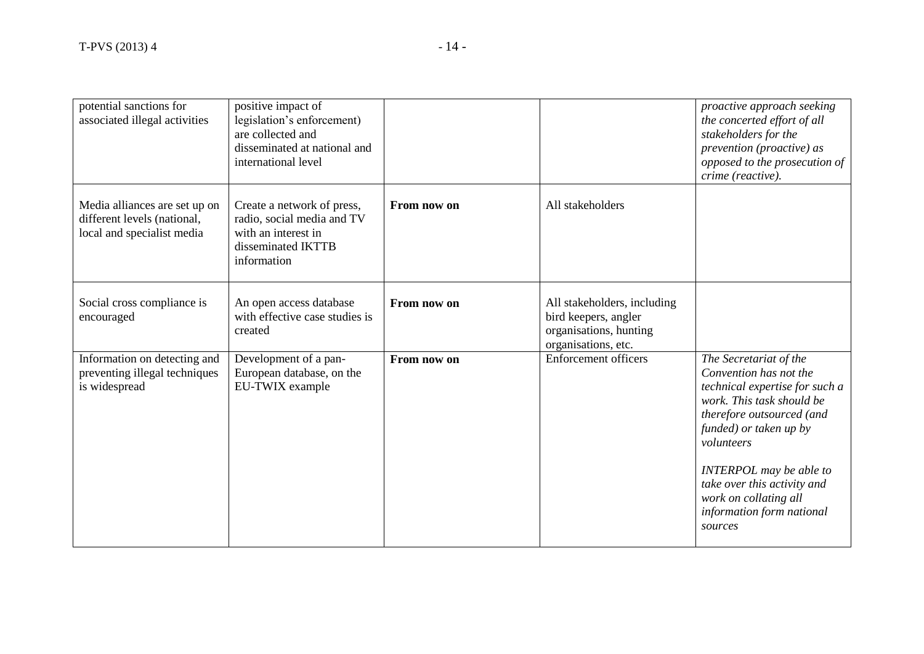| potential sanctions for<br>associated illegal activities                                   | positive impact of<br>legislation's enforcement)<br>are collected and<br>disseminated at national and<br>international level |             |                                                                                                      | proactive approach seeking<br>the concerted effort of all<br>stakeholders for the<br>prevention (proactive) as<br>opposed to the prosecution of<br>crime (reactive).                                                                                                                                                   |
|--------------------------------------------------------------------------------------------|------------------------------------------------------------------------------------------------------------------------------|-------------|------------------------------------------------------------------------------------------------------|------------------------------------------------------------------------------------------------------------------------------------------------------------------------------------------------------------------------------------------------------------------------------------------------------------------------|
| Media alliances are set up on<br>different levels (national,<br>local and specialist media | Create a network of press,<br>radio, social media and TV<br>with an interest in<br>disseminated IKTTB<br>information         | From now on | All stakeholders                                                                                     |                                                                                                                                                                                                                                                                                                                        |
| Social cross compliance is<br>encouraged                                                   | An open access database<br>with effective case studies is<br>created                                                         | From now on | All stakeholders, including<br>bird keepers, angler<br>organisations, hunting<br>organisations, etc. |                                                                                                                                                                                                                                                                                                                        |
| Information on detecting and<br>preventing illegal techniques<br>is widespread             | Development of a pan-<br>European database, on the<br>EU-TWIX example                                                        | From now on | <b>Enforcement officers</b>                                                                          | The Secretariat of the<br>Convention has not the<br>technical expertise for such a<br>work. This task should be<br>therefore outsourced (and<br>funded) or taken up by<br>volunteers<br><b>INTERPOL</b> may be able to<br>take over this activity and<br>work on collating all<br>information form national<br>sources |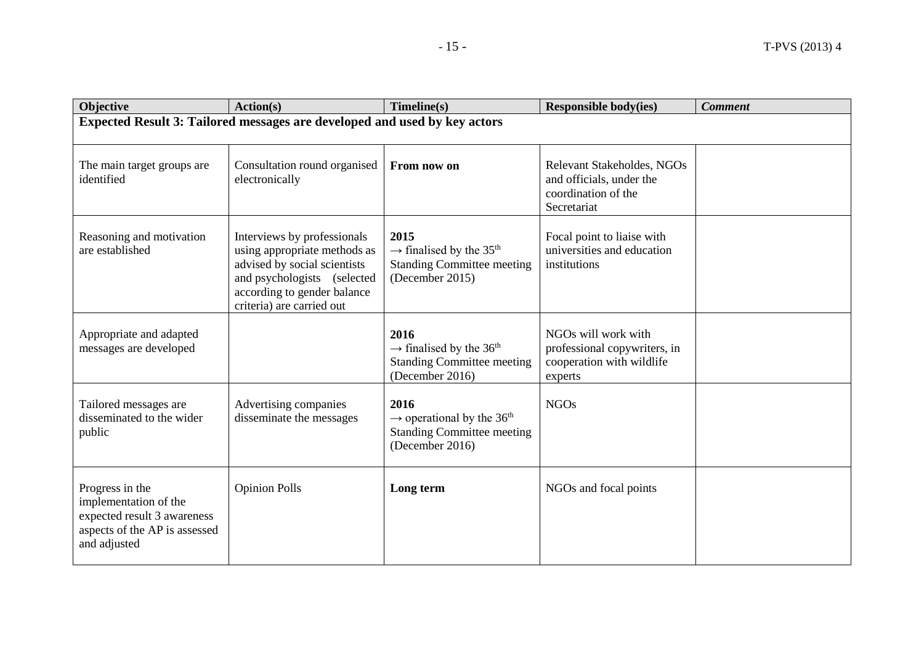| Objective                                                                                                                | <b>Action(s)</b>                                                                                                                                                                       | Timeline(s)                                                                                                       | <b>Responsible body(ies)</b>                                                                 | <b>Comment</b> |  |  |  |
|--------------------------------------------------------------------------------------------------------------------------|----------------------------------------------------------------------------------------------------------------------------------------------------------------------------------------|-------------------------------------------------------------------------------------------------------------------|----------------------------------------------------------------------------------------------|----------------|--|--|--|
| Expected Result 3: Tailored messages are developed and used by key actors                                                |                                                                                                                                                                                        |                                                                                                                   |                                                                                              |                |  |  |  |
|                                                                                                                          |                                                                                                                                                                                        |                                                                                                                   |                                                                                              |                |  |  |  |
| The main target groups are<br>identified                                                                                 | Consultation round organised<br>electronically                                                                                                                                         | From now on                                                                                                       | Relevant Stakeholdes, NGOs<br>and officials, under the<br>coordination of the<br>Secretariat |                |  |  |  |
| Reasoning and motivation<br>are established                                                                              | Interviews by professionals<br>using appropriate methods as<br>advised by social scientists<br>and psychologists (selected<br>according to gender balance<br>criteria) are carried out | 2015<br>$\rightarrow$ finalised by the 35 <sup>th</sup><br><b>Standing Committee meeting</b><br>(December 2015)   | Focal point to liaise with<br>universities and education<br>institutions                     |                |  |  |  |
| Appropriate and adapted<br>messages are developed                                                                        |                                                                                                                                                                                        | 2016<br>$\rightarrow$ finalised by the 36 <sup>th</sup><br><b>Standing Committee meeting</b><br>(December 2016)   | NGOs will work with<br>professional copywriters, in<br>cooperation with wildlife<br>experts  |                |  |  |  |
| Tailored messages are<br>disseminated to the wider<br>public                                                             | Advertising companies<br>disseminate the messages                                                                                                                                      | 2016<br>$\rightarrow$ operational by the 36 <sup>th</sup><br><b>Standing Committee meeting</b><br>(December 2016) | <b>NGOs</b>                                                                                  |                |  |  |  |
| Progress in the<br>implementation of the<br>expected result 3 awareness<br>aspects of the AP is assessed<br>and adjusted | <b>Opinion Polls</b>                                                                                                                                                                   | Long term                                                                                                         | NGOs and focal points                                                                        |                |  |  |  |